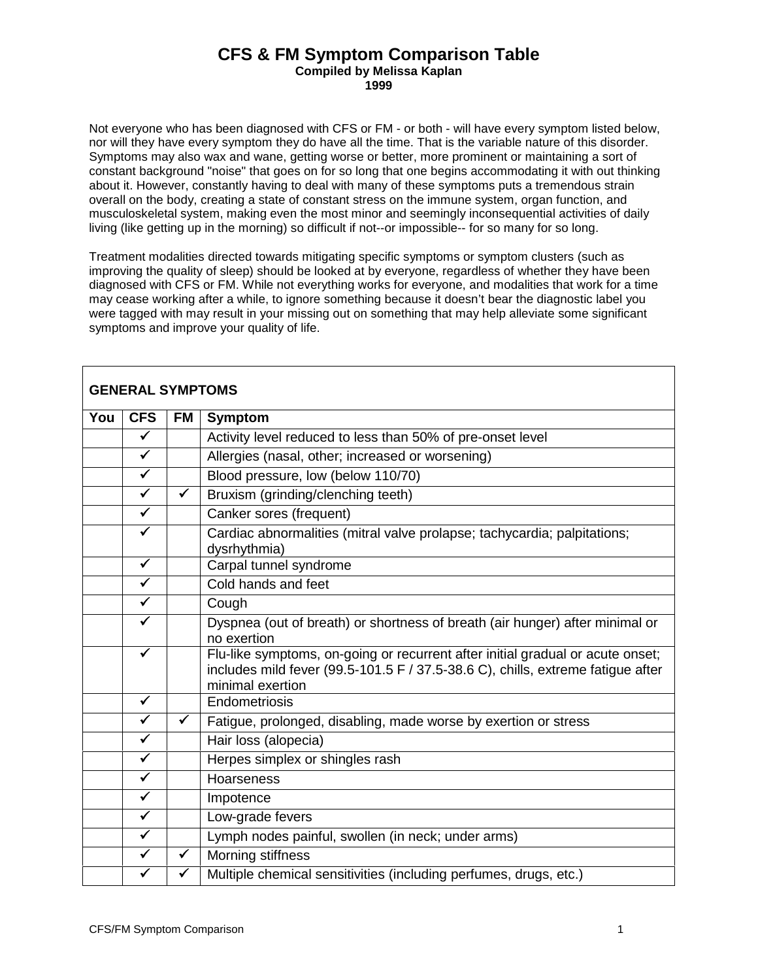## **CFS & FM Symptom Comparison Table Compiled by Melissa Kaplan**

**1999**

Not everyone who has been diagnosed with CFS or FM - or both - will have every symptom listed below, nor will they have every symptom they do have all the time. That is the variable nature of this disorder. Symptoms may also wax and wane, getting worse or better, more prominent or maintaining a sort of constant background "noise" that goes on for so long that one begins accommodating it with out thinking about it. However, constantly having to deal with many of these symptoms puts a tremendous strain overall on the body, creating a state of constant stress on the immune system, organ function, and musculoskeletal system, making even the most minor and seemingly inconsequential activities of daily living (like getting up in the morning) so difficult if not--or impossible-- for so many for so long.

Treatment modalities directed towards mitigating specific symptoms or symptom clusters (such as improving the quality of sleep) should be looked at by everyone, regardless of whether they have been diagnosed with CFS or FM. While not everything works for everyone, and modalities that work for a time may cease working after a while, to ignore something because it doesn't bear the diagnostic label you were tagged with may result in your missing out on something that may help alleviate some significant symptoms and improve your quality of life.

|     | <b>GENERAL SYMPTOMS</b> |              |                                                                                                                                                                                       |
|-----|-------------------------|--------------|---------------------------------------------------------------------------------------------------------------------------------------------------------------------------------------|
| You | <b>CFS</b>              | <b>FM</b>    | <b>Symptom</b>                                                                                                                                                                        |
|     | $\checkmark$            |              | Activity level reduced to less than 50% of pre-onset level                                                                                                                            |
|     | $\checkmark$            |              | Allergies (nasal, other; increased or worsening)                                                                                                                                      |
|     | $\checkmark$            |              | Blood pressure, low (below 110/70)                                                                                                                                                    |
|     | $\blacktriangledown$    | $\checkmark$ | Bruxism (grinding/clenching teeth)                                                                                                                                                    |
|     | $\overline{\checkmark}$ |              | Canker sores (frequent)                                                                                                                                                               |
|     | $\checkmark$            |              | Cardiac abnormalities (mitral valve prolapse; tachycardia; palpitations;<br>dysrhythmia)                                                                                              |
|     | $\checkmark$            |              | Carpal tunnel syndrome                                                                                                                                                                |
|     | $\checkmark$            |              | Cold hands and feet                                                                                                                                                                   |
|     | $\checkmark$            |              | Cough                                                                                                                                                                                 |
|     | $\checkmark$            |              | Dyspnea (out of breath) or shortness of breath (air hunger) after minimal or<br>no exertion                                                                                           |
|     | ✓                       |              | Flu-like symptoms, on-going or recurrent after initial gradual or acute onset;<br>includes mild fever (99.5-101.5 F / 37.5-38.6 C), chills, extreme fatigue after<br>minimal exertion |
|     | $\checkmark$            |              | Endometriosis                                                                                                                                                                         |
|     | $\checkmark$            | $\checkmark$ | Fatigue, prolonged, disabling, made worse by exertion or stress                                                                                                                       |
|     | $\overline{\checkmark}$ |              | Hair loss (alopecia)                                                                                                                                                                  |
|     | $\overline{\checkmark}$ |              | Herpes simplex or shingles rash                                                                                                                                                       |
|     | $\checkmark$            |              | Hoarseness                                                                                                                                                                            |
|     | $\overline{\checkmark}$ |              | Impotence                                                                                                                                                                             |
|     | $\checkmark$            |              | Low-grade fevers                                                                                                                                                                      |
|     | $\checkmark$            |              | Lymph nodes painful, swollen (in neck; under arms)                                                                                                                                    |
|     | $\checkmark$            | $\checkmark$ | Morning stiffness                                                                                                                                                                     |
|     |                         |              | Multiple chemical sensitivities (including perfumes, drugs, etc.)                                                                                                                     |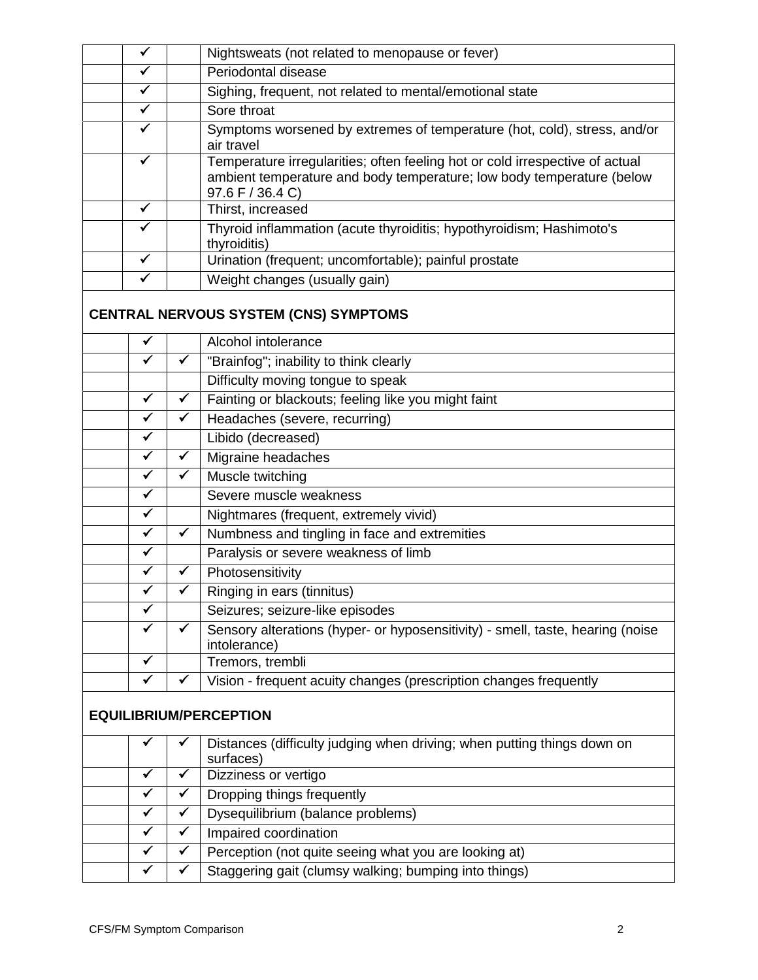| $\checkmark$                            |              | Nightsweats (not related to menopause or fever)                                                                                                                           |
|-----------------------------------------|--------------|---------------------------------------------------------------------------------------------------------------------------------------------------------------------------|
| $\checkmark$                            |              | Periodontal disease                                                                                                                                                       |
| $\checkmark$                            |              | Sighing, frequent, not related to mental/emotional state                                                                                                                  |
| $\blacktriangledown$                    |              | Sore throat                                                                                                                                                               |
| $\checkmark$                            |              | Symptoms worsened by extremes of temperature (hot, cold), stress, and/or<br>air travel                                                                                    |
| $\checkmark$                            |              | Temperature irregularities; often feeling hot or cold irrespective of actual<br>ambient temperature and body temperature; low body temperature (below<br>97.6 F / 36.4 C) |
| $\checkmark$                            |              | Thirst, increased                                                                                                                                                         |
| ✓                                       |              | Thyroid inflammation (acute thyroiditis; hypothyroidism; Hashimoto's<br>thyroiditis)                                                                                      |
| $\checkmark$                            |              | Urination (frequent; uncomfortable); painful prostate                                                                                                                     |
| ✓                                       |              | Weight changes (usually gain)                                                                                                                                             |
|                                         |              | <b>CENTRAL NERVOUS SYSTEM (CNS) SYMPTOMS</b>                                                                                                                              |
| $\checkmark$                            |              | Alcohol intolerance                                                                                                                                                       |
| $\checkmark$                            | $\checkmark$ | "Brainfog"; inability to think clearly                                                                                                                                    |
|                                         |              | Difficulty moving tongue to speak                                                                                                                                         |
| $\checkmark$                            | $\checkmark$ | Fainting or blackouts; feeling like you might faint                                                                                                                       |
| $\checkmark$<br>$\overline{\checkmark}$ | $\checkmark$ | Headaches (severe, recurring)                                                                                                                                             |
|                                         |              | Libido (decreased)                                                                                                                                                        |
| $\checkmark$                            | $\checkmark$ | Migraine headaches                                                                                                                                                        |
| $\checkmark$                            | $\checkmark$ | Muscle twitching                                                                                                                                                          |
| $\checkmark$                            |              | Severe muscle weakness                                                                                                                                                    |
| $\blacktriangledown$                    |              | Nightmares (frequent, extremely vivid)                                                                                                                                    |
| $\blacktriangledown$                    | $\checkmark$ | Numbness and tingling in face and extremities                                                                                                                             |
| $\checkmark$                            |              | Paralysis or severe weakness of limb                                                                                                                                      |
| $\checkmark$                            | ✔            | Photosensitivity                                                                                                                                                          |
| ✓                                       |              | Ringing in ears (tinnitus)                                                                                                                                                |
| ✔                                       |              | Seizures; seizure-like episodes                                                                                                                                           |
| ✓                                       |              | Sensory alterations (hyper- or hyposensitivity) - smell, taste, hearing (noise<br>intolerance)                                                                            |
| $\checkmark$                            |              | Tremors, trembli                                                                                                                                                          |
| $\checkmark$                            | $\checkmark$ | Vision - frequent acuity changes (prescription changes frequently                                                                                                         |
|                                         |              | <b>EQUILIBRIUM/PERCEPTION</b>                                                                                                                                             |
|                                         |              | Distances (difficulty judging when driving; when putting things down on<br>surfaces)                                                                                      |
|                                         |              | Dizziness or vertigo                                                                                                                                                      |
| $\checkmark$                            |              | Dropping things frequently                                                                                                                                                |
| ✓                                       |              | Dysequilibrium (balance problems)                                                                                                                                         |
| $\checkmark$                            | ✓            | Impaired coordination                                                                                                                                                     |
| $\checkmark$                            | $\checkmark$ | Perception (not quite seeing what you are looking at)                                                                                                                     |
| ✓                                       | ✓            | Staggering gait (clumsy walking; bumping into things)                                                                                                                     |